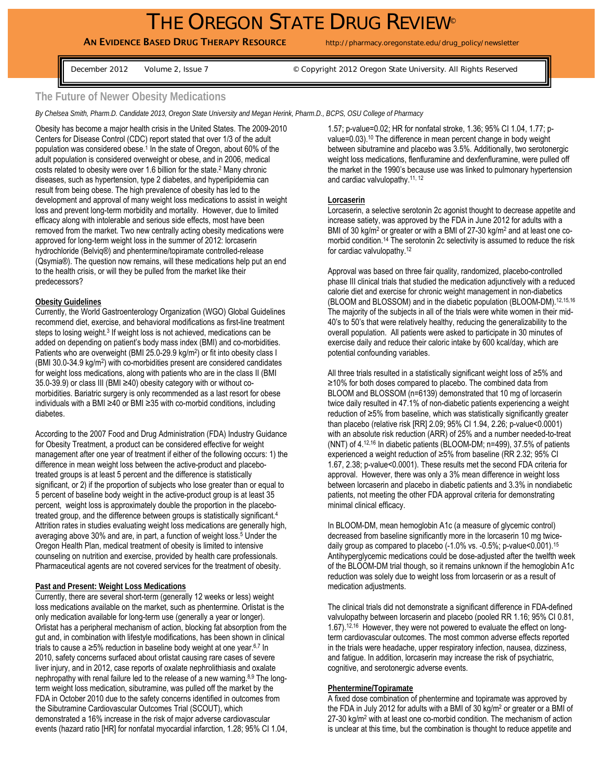# THE OREGON STATE DRUG REVIEW®

## AN EVIDENCE BASED DRUG THERAPY RESOURCE http://pharmacy.oregonstate.edu/drug\_policy/newsletter

December 2012 Volume 2, Issue 7 © Copyright 2012 Oregon State University. All Rights Reserved

### **The Future of Newer Obesity Medications**

*By Chelsea Smith, Pharm.D. Candidate 2013, Oregon State University and Megan Herink, Pharm.D., BCPS, OSU College of Pharmacy* 

Obesity has become a major health crisis in the United States. The 2009-2010 Centers for Disease Control (CDC) report stated that over 1/3 of the adult population was considered obese.<sup>1</sup> In the state of Oregon, about 60% of the adult population is considered overweight or obese, and in 2006, medical costs related to obesity were over 1.6 billion for the state.2 Many chronic diseases, such as hypertension, type 2 diabetes, and hyperlipidemia can result from being obese. The high prevalence of obesity has led to the development and approval of many weight loss medications to assist in weight loss and prevent long-term morbidity and mortality. However, due to limited efficacy along with intolerable and serious side effects, most have been removed from the market. Two new centrally acting obesity medications were approved for long-term weight loss in the summer of 2012: lorcaserin hydrochloride (Belviq®) and phentermine/topiramate controlled-release (Qsymia®). The question now remains, will these medications help put an end to the health crisis, or will they be pulled from the market like their predecessors?

#### **Obesity Guidelines**

Currently, the World Gastroenterology Organization (WGO) Global Guidelines recommend diet, exercise, and behavioral modifications as first-line treatment steps to losing weight.<sup>3</sup> If weight loss is not achieved, medications can be added on depending on patient's body mass index (BMI) and co-morbidities. Patients who are overweight (BMI 25.0-29.9 kg/m<sup>2</sup>) or fit into obesity class I (BMI 30.0-34.9 kg/m2) with co-morbidities present are considered candidates for weight loss medications, along with patients who are in the class II (BMI 35.0-39.9) or class III (BMI ≥40) obesity category with or without comorbidities. Bariatric surgery is only recommended as a last resort for obese individuals with a BMI ≥40 or BMI ≥35 with co-morbid conditions, including diabetes.

According to the 2007 Food and Drug Administration (FDA) Industry Guidance for Obesity Treatment, a product can be considered effective for weight management after one year of treatment if either of the following occurs: 1) the difference in mean weight loss between the active-product and placebotreated groups is at least 5 percent and the difference is statistically significant, or 2) if the proportion of subjects who lose greater than or equal to 5 percent of baseline body weight in the active-product group is at least 35 percent, weight loss is approximately double the proportion in the placebotreated group, and the difference between groups is statistically significant.4 Attrition rates in studies evaluating weight loss medications are generally high, averaging above 30% and are, in part, a function of weight loss.<sup>5</sup> Under the Oregon Health Plan, medical treatment of obesity is limited to intensive counseling on nutrition and exercise, provided by health care professionals. Pharmaceutical agents are not covered services for the treatment of obesity.

#### **Past and Present: Weight Loss Medications**

Currently, there are several short-term (generally 12 weeks or less) weight loss medications available on the market, such as phentermine. Orlistat is the only medication available for long-term use (generally a year or longer). Orlistat has a peripheral mechanism of action, blocking fat absorption from the gut and, in combination with lifestyle modifications, has been shown in clinical trials to cause a  $\geq 5\%$  reduction in baseline body weight at one year.<sup>6,7</sup> In 2010, safety concerns surfaced about orlistat causing rare cases of severe liver injury, and in 2012, case reports of oxalate nephrolithiasis and oxalate nephropathy with renal failure led to the release of a new warning.8,9 The longterm weight loss medication, sibutramine, was pulled off the market by the FDA in October 2010 due to the safety concerns identified in outcomes from the Sibutramine Cardiovascular Outcomes Trial (SCOUT), which demonstrated a 16% increase in the risk of major adverse cardiovascular events (hazard ratio [HR] for nonfatal myocardial infarction, 1.28; 95% CI 1.04, 1.57; p-value=0.02; HR for nonfatal stroke, 1.36; 95% CI 1.04, 1.77; pvalue=0.03).10 The difference in mean percent change in body weight between sibutramine and placebo was 3.5%. Additionally, two serotonergic weight loss medications, flenfluramine and dexfenfluramine, were pulled off the market in the 1990's because use was linked to pulmonary hypertension and cardiac valvulopathy.11, 12

#### **Lorcaserin**

Lorcaserin, a selective serotonin 2c agonist thought to decrease appetite and increase satiety, was approved by the FDA in June 2012 for adults with a BMI of 30 kg/m<sup>2</sup> or greater or with a BMI of 27-30 kg/m<sup>2</sup> and at least one comorbid condition.14 The serotonin 2c selectivity is assumed to reduce the risk for cardiac valvulopathy.12

Approval was based on three fair quality, randomized, placebo-controlled phase III clinical trials that studied the medication adjunctively with a reduced calorie diet and exercise for chronic weight management in non-diabetics (BLOOM and BLOSSOM) and in the diabetic population (BLOOM-DM).12,15,16 The majority of the subjects in all of the trials were white women in their mid-40's to 50's that were relatively healthy, reducing the generalizability to the overall population. All patients were asked to participate in 30 minutes of exercise daily and reduce their caloric intake by 600 kcal/day, which are potential confounding variables.

All three trials resulted in a statistically significant weight loss of ≥5% and ≥10% for both doses compared to placebo. The combined data from BLOOM and BLOSSOM (n=6139) demonstrated that 10 mg of lorcaserin twice daily resulted in 47.1% of non-diabetic patients experiencing a weight reduction of ≥5% from baseline, which was statistically significantly greater than placebo (relative risk [RR] 2.09; 95% CI 1.94, 2.26; p-value<0.0001) with an absolute risk reduction (ARR) of 25% and a number needed-to-treat (NNT) of 4.12,16 In diabetic patients (BLOOM-DM; n=499), 37.5% of patients experienced a weight reduction of ≥5% from baseline (RR 2.32; 95% CI 1.67, 2.38; p-value<0.0001). These results met the second FDA criteria for approval. However, there was only a 3% mean difference in weight loss between lorcaserin and placebo in diabetic patients and 3.3% in nondiabetic patients, not meeting the other FDA approval criteria for demonstrating minimal clinical efficacy.

In BLOOM-DM, mean hemoglobin A1c (a measure of glycemic control) decreased from baseline significantly more in the lorcaserin 10 mg twicedaily group as compared to placebo (-1.0% vs. -0.5%; p-value<0.001).15 Antihyperglycemic medications could be dose-adjusted after the twelfth week of the BLOOM-DM trial though, so it remains unknown if the hemoglobin A1c reduction was solely due to weight loss from lorcaserin or as a result of medication adjustments.

The clinical trials did not demonstrate a significant difference in FDA-defined valvulopathy between lorcaserin and placebo (pooled RR 1.16; 95% CI 0.81, 1.67).12,16 However, they were not powered to evaluate the effect on longterm cardiovascular outcomes. The most common adverse effects reported in the trials were headache, upper respiratory infection, nausea, dizziness, and fatigue. In addition, lorcaserin may increase the risk of psychiatric, cognitive, and serotonergic adverse events.

#### **Phentermine/Topiramate**

A fixed dose combination of phentermine and topiramate was approved by the FDA in July 2012 for adults with a BMI of 30 kg/m<sup>2</sup> or greater or a BMI of 27-30 kg/m<sup>2</sup> with at least one co-morbid condition. The mechanism of action is unclear at this time, but the combination is thought to reduce appetite and